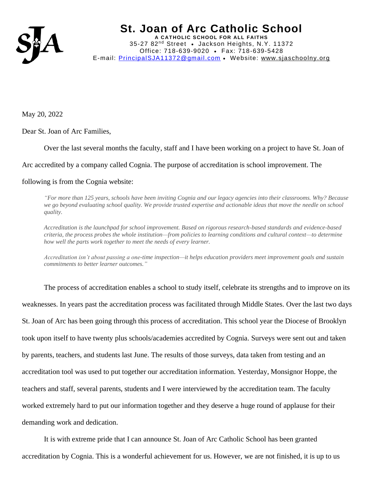

May 20, 2022

Dear St. Joan of Arc Families,

Over the last several months the faculty, staff and I have been working on a project to have St. Joan of

Arc accredited by a company called Cognia. The purpose of accreditation is school improvement. The

## following is from the Cognia website:

*"For more than 125 years, schools have been inviting Cognia and our legacy agencies into their classrooms. Why? Because we go beyond evaluating school quality. We provide trusted expertise and actionable ideas that move the needle on school quality.*

*Accreditation is the launchpad for school improvement. Based on rigorous research-based standards and evidence-based criteria, the process probes the whole institution—from policies to learning conditions and cultural context—to determine how well the parts work together to meet the needs of every learner.*

*Accreditation isn't about passing a one-time inspection—it helps education providers meet improvement goals and sustain commitments to better learner outcomes."*

The process of accreditation enables a school to study itself, celebrate its strengths and to improve on its weaknesses. In years past the accreditation process was facilitated through Middle States. Over the last two days St. Joan of Arc has been going through this process of accreditation. This school year the Diocese of Brooklyn took upon itself to have twenty plus schools/academies accredited by Cognia. Surveys were sent out and taken by parents, teachers, and students last June. The results of those surveys, data taken from testing and an accreditation tool was used to put together our accreditation information. Yesterday, Monsignor Hoppe, the teachers and staff, several parents, students and I were interviewed by the accreditation team. The faculty worked extremely hard to put our information together and they deserve a huge round of applause for their demanding work and dedication.

It is with extreme pride that I can announce St. Joan of Arc Catholic School has been granted accreditation by Cognia. This is a wonderful achievement for us. However, we are not finished, it is up to us